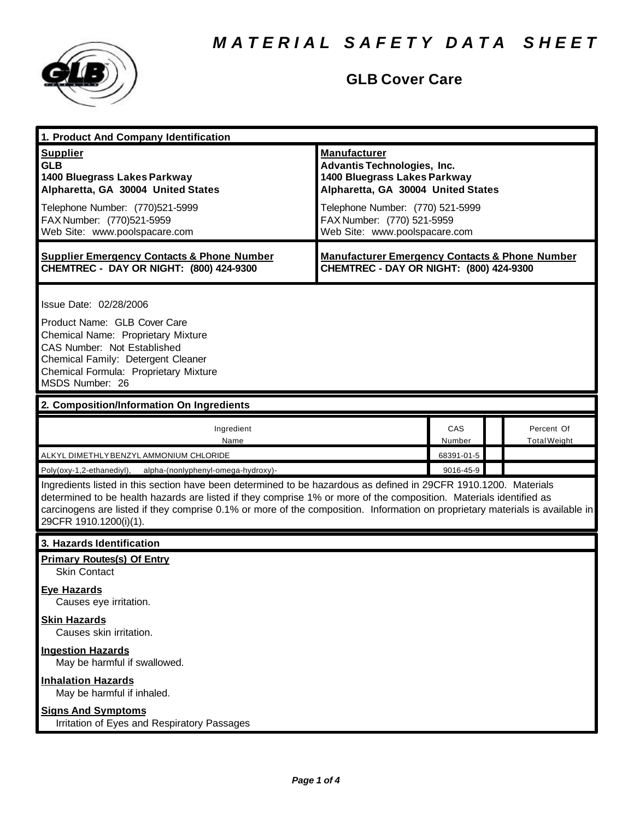

# **GLB Cover Care**

| 1. Product And Company Identification                                                                                                                                                                                                                                                                                                                                                             |                                                                                                                                                                                                                                    |               |                                   |
|---------------------------------------------------------------------------------------------------------------------------------------------------------------------------------------------------------------------------------------------------------------------------------------------------------------------------------------------------------------------------------------------------|------------------------------------------------------------------------------------------------------------------------------------------------------------------------------------------------------------------------------------|---------------|-----------------------------------|
| <b>Supplier</b><br><b>GLB</b><br>1400 Bluegrass Lakes Parkway<br>Alpharetta, GA 30004 United States<br>Telephone Number: (770)521-5999<br>FAX Number: (770)521-5959<br>Web Site: www.poolspacare.com                                                                                                                                                                                              | <b>Manufacturer</b><br><b>Advantis Technologies, Inc.</b><br>1400 Bluegrass Lakes Parkway<br>Alpharetta, GA 30004 United States<br>Telephone Number: (770) 521-5999<br>FAX Number: (770) 521-5959<br>Web Site: www.poolspacare.com |               |                                   |
| <b>Supplier Emergency Contacts &amp; Phone Number</b><br>CHEMTREC - DAY OR NIGHT: (800) 424-9300                                                                                                                                                                                                                                                                                                  | <b>Manufacturer Emergency Contacts &amp; Phone Number</b><br>CHEMTREC - DAY OR NIGHT: (800) 424-9300                                                                                                                               |               |                                   |
| Issue Date: 02/28/2006<br>Product Name: GLB Cover Care<br>Chemical Name: Proprietary Mixture<br>CAS Number: Not Established<br>Chemical Family: Detergent Cleaner<br>Chemical Formula: Proprietary Mixture<br>MSDS Number: 26                                                                                                                                                                     |                                                                                                                                                                                                                                    |               |                                   |
| 2. Composition/Information On Ingredients                                                                                                                                                                                                                                                                                                                                                         |                                                                                                                                                                                                                                    |               |                                   |
| Ingredient<br>Name                                                                                                                                                                                                                                                                                                                                                                                |                                                                                                                                                                                                                                    | CAS<br>Number | Percent Of<br><b>Total Weight</b> |
| ALKYL DIMETHLY BENZYL AMMONIUM CHLORIDE                                                                                                                                                                                                                                                                                                                                                           |                                                                                                                                                                                                                                    | 68391-01-5    |                                   |
| Poly(oxy-1,2-ethanediyl),<br>alpha-(nonlyphenyl-omega-hydroxy)-                                                                                                                                                                                                                                                                                                                                   |                                                                                                                                                                                                                                    | 9016-45-9     |                                   |
| Ingredients listed in this section have been determined to be hazardous as defined in 29CFR 1910.1200. Materials<br>determined to be health hazards are listed if they comprise 1% or more of the composition. Materials identified as<br>carcinogens are listed if they comprise 0.1% or more of the composition. Information on proprietary materials is available in<br>29CFR 1910.1200(i)(1). |                                                                                                                                                                                                                                    |               |                                   |
| 3. Hazards Identification                                                                                                                                                                                                                                                                                                                                                                         |                                                                                                                                                                                                                                    |               |                                   |
| <b>Primary Routes(s) Of Entry</b><br><b>Skin Contact</b>                                                                                                                                                                                                                                                                                                                                          |                                                                                                                                                                                                                                    |               |                                   |
| <b>Eye Hazards</b><br>Causes eye irritation.                                                                                                                                                                                                                                                                                                                                                      |                                                                                                                                                                                                                                    |               |                                   |
| <b>Skin Hazards</b><br>Causes skin irritation.                                                                                                                                                                                                                                                                                                                                                    |                                                                                                                                                                                                                                    |               |                                   |
| <b>Ingestion Hazards</b><br>May be harmful if swallowed.                                                                                                                                                                                                                                                                                                                                          |                                                                                                                                                                                                                                    |               |                                   |
| <b>Inhalation Hazards</b><br>May be harmful if inhaled.                                                                                                                                                                                                                                                                                                                                           |                                                                                                                                                                                                                                    |               |                                   |
| <b>Signs And Symptoms</b><br>Irritation of Eyes and Respiratory Passages                                                                                                                                                                                                                                                                                                                          |                                                                                                                                                                                                                                    |               |                                   |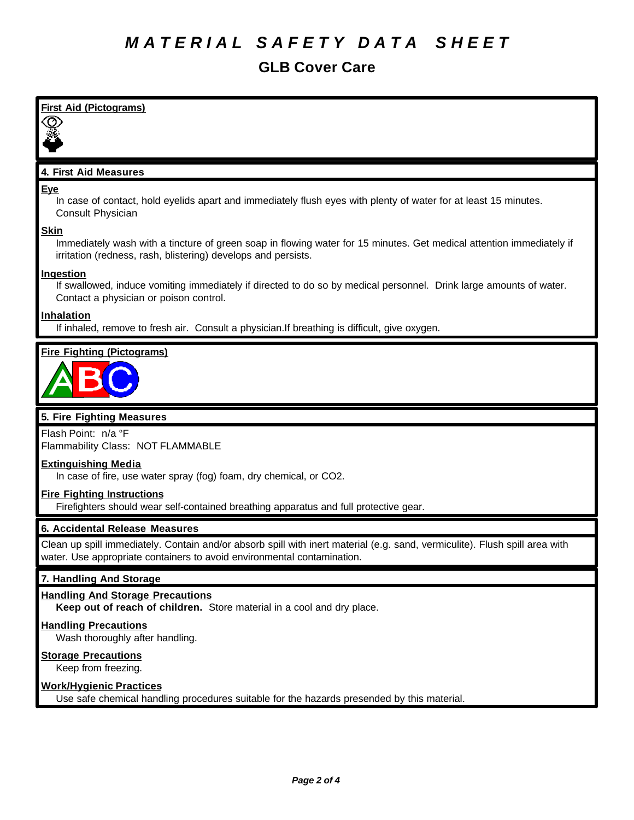# *M A T E R I A L S A F E T Y D A T A S H E E T*

# **GLB Cover Care**

**First Aid (Pictograms)**

# **4. First Aid Measures**

#### **Eye**

In case of contact, hold eyelids apart and immediately flush eyes with plenty of water for at least 15 minutes. Consult Physician

#### **Skin**

Immediately wash with a tincture of green soap in flowing water for 15 minutes. Get medical attention immediately if irritation (redness, rash, blistering) develops and persists.

#### **Ingestion**

If swallowed, induce vomiting immediately if directed to do so by medical personnel. Drink large amounts of water. Contact a physician or poison control.

## **Inhalation**

If inhaled, remove to fresh air. Consult a physician.If breathing is difficult, give oxygen.

# **Fire Fighting (Pictograms)**



## **5. Fire Fighting Measures**

Flash Point: n/a °F Flammability Class: NOT FLAMMABLE

## **Extinguishing Media**

In case of fire, use water spray (fog) foam, dry chemical, or CO2.

## **Fire Fighting Instructions**

Firefighters should wear self-contained breathing apparatus and full protective gear.

## **6. Accidental Release Measures**

Clean up spill immediately. Contain and/or absorb spill with inert material (e.g. sand, vermiculite). Flush spill area with water. Use appropriate containers to avoid environmental contamination.

## **7. Handling And Storage**

## **Handling And Storage Precautions**

**Keep out of reach of children.** Store material in a cool and dry place.

#### **Handling Precautions**

Wash thoroughly after handling.

#### **Storage Precautions**

Keep from freezing.

#### **Work/Hygienic Practices**

Use safe chemical handling procedures suitable for the hazards presended by this material.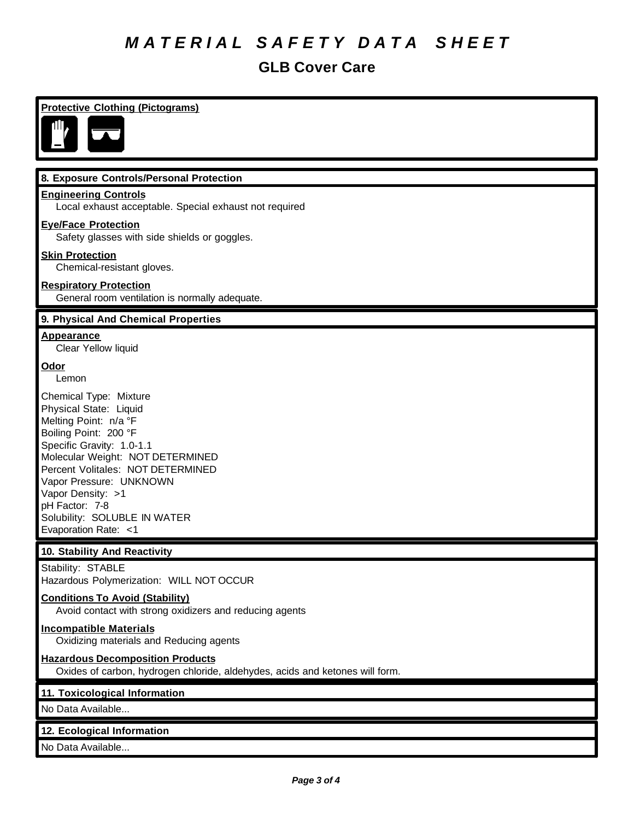# *M A T E R I A L S A F E T Y D A T A S H E E T*

# **GLB Cover Care**

# **Protective Clothing (Pictograms) 8. Exposure Controls/Personal Protection Engineering Controls** Local exhaust acceptable. Special exhaust not required **Eye/Face Protection** Safety glasses with side shields or goggles. **Skin Protection** Chemical-resistant gloves. **Respiratory Protection** General room ventilation is normally adequate. **9. Physical And Chemical Properties Appearance** Clear Yellow liquid **Odor** Lemon Chemical Type: Mixture Physical State: Liquid Melting Point: n/a °F Boiling Point: 200 °F Specific Gravity: 1.0-1.1 Molecular Weight: NOT DETERMINED Percent Volitales: NOT DETERMINED Vapor Pressure: UNKNOWN Vapor Density: >1 pH Factor: 7-8 Solubility: SOLUBLE IN WATER Evaporation Rate: <1

# **10. Stability And Reactivity**

Stability: STABLE Hazardous Polymerization: WILL NOT OCCUR

## **Conditions To Avoid (Stability)**

Avoid contact with strong oxidizers and reducing agents

### **Incompatible Materials**

Oxidizing materials and Reducing agents

#### **Hazardous Decomposition Products**

Oxides of carbon, hydrogen chloride, aldehydes, acids and ketones will form.

#### **11. Toxicological Information**

No Data Available...

# **12. Ecological Information**

No Data Available...